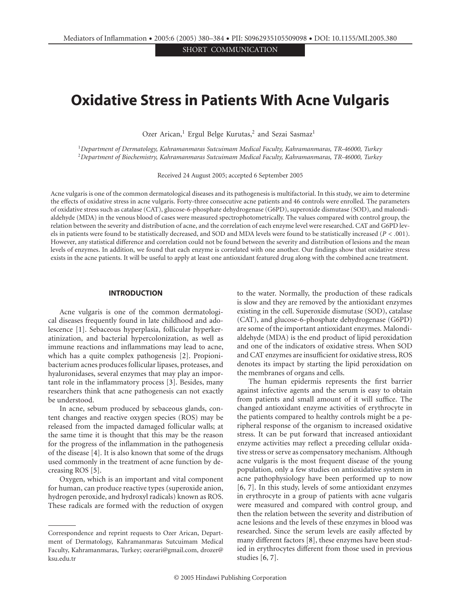SHORT COMMUNICATION

# **Oxidative Stress in Patients With Acne Vulgaris**

Ozer Arican,<sup>1</sup> Ergul Belge Kurutas,<sup>2</sup> and Sezai Sasmaz<sup>1</sup>

<sup>1</sup>*Department of Dermatology, Kahramanmaras Sutcuimam Medical Faculty, Kahramanmaras, TR-46000, Turkey* <sup>2</sup>*Department of Biochemistry, Kahramanmaras Sutcuimam Medical Faculty, Kahramanmaras, TR-46000, Turkey*

Received 24 August 2005; accepted 6 September 2005

Acne vulgaris is one of the common dermatological diseases and its pathogenesis is multifactorial. In this study, we aim to determine the effects of oxidative stress in acne vulgaris. Forty-three consecutive acne patients and 46 controls were enrolled. The parameters of oxidative stress such as catalase (CAT), glucose-6-phosphate dehydrogenase (G6PD), superoxide dismutase (SOD), and malondialdehyde (MDA) in the venous blood of cases were measured spectrophotometrically. The values compared with control group, the relation between the severity and distribution of acne, and the correlation of each enzyme level were researched. CAT and G6PD levels in patients were found to be statistically decreased, and SOD and MDA levels were found to be statistically increased (*P<.*001). However, any statistical difference and correlation could not be found between the severity and distribution of lesions and the mean levels of enzymes. In addition, we found that each enzyme is correlated with one another. Our findings show that oxidative stress exists in the acne patients. It will be useful to apply at least one antioxidant featured drug along with the combined acne treatment.

#### **INTRODUCTION**

Acne vulgaris is one of the common dermatological diseases frequently found in late childhood and adolescence [1]. Sebaceous hyperplasia, follicular hyperkeratinization, and bacterial hypercolonization, as well as immune reactions and inflammations may lead to acne, which has a quite complex pathogenesis [2]. Propionibacterium acnes produces follicular lipases, proteases, and hyaluronidases, several enzymes that may play an important role in the inflammatory process [3]. Besides, many researchers think that acne pathogenesis can not exactly be understood.

In acne, sebum produced by sebaceous glands, content changes and reactive oxygen species (ROS) may be released from the impacted damaged follicular walls; at the same time it is thought that this may be the reason for the progress of the inflammation in the pathogenesis of the disease [4]. It is also known that some of the drugs used commonly in the treatment of acne function by decreasing ROS [5].

Oxygen, which is an important and vital component for human, can produce reactive types (superoxide anion, hydrogen peroxide, and hydroxyl radicals) known as ROS. These radicals are formed with the reduction of oxygen

to the water. Normally, the production of these radicals is slow and they are removed by the antioxidant enzymes existing in the cell. Superoxide dismutase (SOD), catalase (CAT), and glucose-6-phosphate dehydrogenase (G6PD) are some of the important antioxidant enzymes. Malondialdehyde (MDA) is the end product of lipid peroxidation and one of the indicators of oxidative stress. When SOD and CAT enzymes are insufficient for oxidative stress, ROS denotes its impact by starting the lipid peroxidation on the membranes of organs and cells.

The human epidermis represents the first barrier against infective agents and the serum is easy to obtain from patients and small amount of it will suffice. The changed antioxidant enzyme activities of erythrocyte in the patients compared to healthy controls might be a peripheral response of the organism to increased oxidative stress. It can be put forward that increased antioxidant enzyme activities may reflect a preceding cellular oxidative stress or serve as compensatory mechanism. Although acne vulgaris is the most frequent disease of the young population, only a few studies on antioxidative system in acne pathophysiology have been performed up to now [6, 7]. In this study, levels of some antioxidant enzymes in erythrocyte in a group of patients with acne vulgaris were measured and compared with control group, and then the relation between the severity and distribution of acne lesions and the levels of these enzymes in blood was researched. Since the serum levels are easily affected by many different factors [8], these enzymes have been studied in erythrocytes different from those used in previous studies [6, 7].

Correspondence and reprint requests to Ozer Arican, Department of Dermatology, Kahramanmaras Sutcuimam Medical Faculty, Kahramanmaras, Turkey; ozerari@gmail.com, drozer@ ksu.edu.tr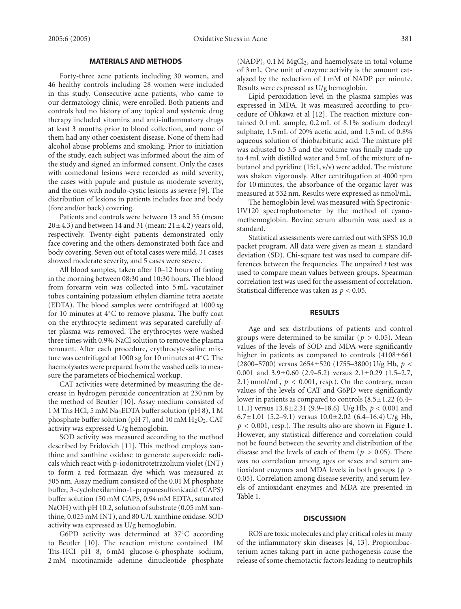# **MATERIALS AND METHODS**

Forty-three acne patients including 30 women, and 46 healthy controls including 28 women were included in this study. Consecutive acne patients, who came to our dermatology clinic, were enrolled. Both patients and controls had no history of any topical and systemic drug therapy included vitamins and anti-inflammatory drugs at least 3 months prior to blood collection, and none of them had any other coexistent disease. None of them had alcohol abuse problems and smoking. Prior to initiation of the study, each subject was informed about the aim of the study and signed an informed consent. Only the cases with comedonal lesions were recorded as mild severity, the cases with papule and pustule as moderate severity, and the ones with nodulo-cystic lesions as severe [9]. The distribution of lesions in patients includes face and body (fore and/or back) covering.

Patients and controls were between 13 and 35 (mean:  $20 \pm 4.3$ ) and between 14 and 31 (mean:  $21 \pm 4.2$ ) years old, respectively. Twenty-eight patients demonstrated only face covering and the others demonstrated both face and body covering. Seven out of total cases were mild, 31 cases showed moderate severity, and 5 cases were severe.

All blood samples, taken after 10–12 hours of fasting in the morning between 08:30 and 10:30 hours. The blood from forearm vein was collected into 5 mL vacutainer tubes containing potassium ethylen diamine tetra acetate (EDTA). The blood samples were centrifuged at 1000 xg for 10 minutes at 4◦C to remove plasma. The buffy coat on the erythrocyte sediment was separated carefully after plasma was removed. The erythrocytes were washed three times with 0.9% NaCl solution to remove the plasma remnant. After each procedure, erythrocyte-saline mixture was centrifuged at 1000 xg for 10 minutes at 4◦C. The haemolysates were prepared from the washed cells to measure the parameters of biochemical workup.

CAT activities were determined by measuring the decrease in hydrogen peroxide concentration at 230 nm by the method of Beutler [10]. Assay medium consisted of 1 M Tris HCl, 5 mM Na2EDTA buffer solution (pH 8), 1 M phosphate buffer solution (pH 7), and 10 mM  $H_2O_2$ . CAT activity was expressed U/g hemoglobin.

SOD activity was measured according to the method described by Fridovich [11]. This method employs xanthine and xanthine oxidase to generate superoxide radicals which react with p-iodonitrotetrazolium violet (INT) to form a red formazan dye which was measured at 505 nm. Assay medium consisted of the 0.01 M phosphate buffer, 3-cyclohexilamino-1-propanesulfonicacid (CAPS) buffer solution (50 mM CAPS, 0.94 mM EDTA, saturated NaOH) with pH 10*.*2, solution of substrate (0.05 mM xanthine, 0.025 mM INT), and 80 U/L xanthine oxidase. SOD activity was expressed as U/g hemoglobin.

G6PD activity was determined at 37◦C according to Beutler [10]. The reaction mixture contained 1M Tris-HCI pH 8, 6 mM glucose-6-phosphate sodium, 2 mM nicotinamide adenine dinucleotide phosphate

 $(NADP)$ , 0.1 M  $MgCl<sub>2</sub>$ , and haemolysate in total volume of 3 mL. One unit of enzyme activity is the amount catalyzed by the reduction of 1 mM of NADP per minute. Results were expressed as U/g hemoglobin.

Lipid peroxidation level in the plasma samples was expressed in MDA. It was measured according to procedure of Ohkawa et al [12]. The reaction mixture contained 0.1 mL sample, 0.2 mL of 8.1% sodium dodecyl sulphate, 1.5 mL of 20% acetic acid, and 1.5 mL of 0.8% aqueous solution of thiobarbituric acid. The mixture pH was adjusted to 3.5 and the volume was finally made up to 4 mL with distilled water and 5 mL of the mixture of nbutanol and pyridine (15:1, v/v) were added. The mixture was shaken vigorously. After centrifugation at 4000 rpm for 10 minutes, the absorbance of the organic layer was measured at 532 nm. Results were expressed as nmol/mL.

The hemoglobin level was measured with Spectronic-UV120 spectrophotometer by the method of cyanomethemoglobin. Bovine serum albumin was used as a standard.

Statistical assessments were carried out with SPSS 10.0 packet program. All data were given as mean ± standard deviation (SD). Chi-square test was used to compare differences between the frequencies. The unpaired *t* test was used to compare mean values between groups. Spearman correlation test was used for the assessment of correlation. Statistical difference was taken as *p <* 0*.*05.

### **RESULTS**

Age and sex distributions of patients and control groups were determined to be similar ( $p > 0.05$ ). Mean values of the levels of SOD and MDA were significantly higher in patients as compared to controls  $(4108 \pm 661)$ (2800–5700) versus 2654±520 (1755–3800) U/g Hb, *p <* <sup>0</sup>*.*001 and 3.9±0.60 (2.9–5.2) versus 2.1±0.29 (1.5–2.7, 2.1) nmol/mL,  $p < 0.001$ , resp.). On the contrary, mean values of the levels of CAT and G6PD were significantly lower in patients as compared to controls  $(8.5\pm1.22)$  (6.4– 11.1) versus 13.8±2.31 (9.9–18.6) U/g Hb, *p <* <sup>0</sup>*.*001 and 6.7 $\pm$ 1.01 (5.2–9.1) versus 10.0 $\pm$ 2.02 (6.4–16.4) U/g Hb, *p <* 0*.*001, resp.). The results also are shown in Figure 1. However, any statistical difference and correlation could not be found between the severity and distribution of the disease and the levels of each of them (*p >* 0*.*05). There was no correlation among ages or sexes and serum antioxidant enzymes and MDA levels in both groups (*p >* 0*.*05). Correlation among disease severity, and serum levels of antioxidant enzymes and MDA are presented in Table 1.

# **DISCUSSION**

ROS are toxic molecules and play critical roles in many of the inflammatory skin diseases [4, 13]. Propionibacterium acnes taking part in acne pathogenesis cause the release of some chemotactic factors leading to neutrophils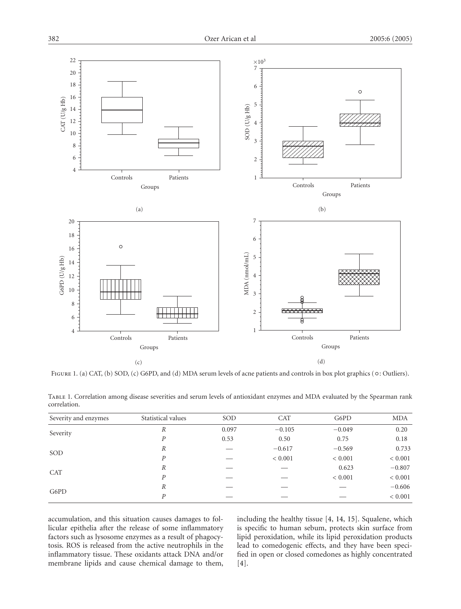

FIGURE 1. (a) CAT, (b) SOD, (c) G6PD, and (d) MDA serum levels of acne patients and controls in box plot graphics ( $\circ$ : Outliers).

| $\frac{1}{2}$        |                    |       |          |          |            |
|----------------------|--------------------|-------|----------|----------|------------|
| Severity and enzymes | Statistical values | SOD   | CAT      | G6PD     | <b>MDA</b> |
| Severity             |                    | 0.097 | $-0.105$ | $-0.049$ | 0.20       |
|                      |                    | 0.53  | 0.50     | 0.75     | 0.18       |
| SOD                  |                    |       | $-0.617$ | $-0.569$ | 0.733      |

 $R \t - \t 0.623 \t -0.807$ 

| TABLE 1. Correlation among disease severities and serum levels of antioxidant enzymes and MDA evaluated by the Spearman rank |  |  |  |  |  |
|------------------------------------------------------------------------------------------------------------------------------|--|--|--|--|--|
| correlation.                                                                                                                 |  |  |  |  |  |

accumulation, and this situation causes damages to follicular epithelia after the release of some inflammatory factors such as lysosome enzymes as a result of phagocytosis. ROS is released from the active neutrophils in the inflammatory tissue. These oxidants attack DNA and/or membrane lipids and cause chemical damage to them,

including the healthy tissue [4, 14, 15]. Squalene, which is specific to human sebum, protects skin surface from lipid peroxidation, while its lipid peroxidation products lead to comedogenic effects, and they have been specified in open or closed comedones as highly concentrated [4].

*P* — *<* 0*.*001 *<* 0*.*001 *<* 0*.*001

*P* — — *<* 0*.*001 *<* 0*.*001

*<sup>R</sup>* —— — <sup>−</sup>0*.*<sup>606</sup> *P* — — — — < 0.001

SOD

G6PD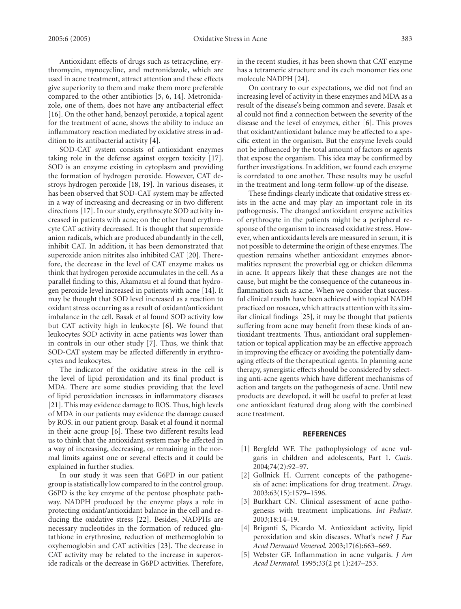Antioxidant effects of drugs such as tetracycline, erythromycin, mynocycline, and metronidazole, which are used in acne treatment, attract attention and these effects give superiority to them and make them more preferable compared to the other antibiotics [5, 6, 14]. Metronidazole, one of them, does not have any antibacterial effect [16]. On the other hand, benzoyl peroxide, a topical agent for the treatment of acne, shows the ability to induce an inflammatory reaction mediated by oxidative stress in addition to its antibacterial activity [4].

SOD-CAT system consists of antioxidant enzymes taking role in the defense against oxygen toxicity [17]. SOD is an enzyme existing in cytoplasm and providing the formation of hydrogen peroxide. However, CAT destroys hydrogen peroxide [18, 19]. In various diseases, it has been observed that SOD-CAT system may be affected in a way of increasing and decreasing or in two different directions [17]. In our study, erythrocyte SOD activity increased in patients with acne; on the other hand erythrocyte CAT activity decreased. It is thought that superoxide anion radicals, which are produced abundantly in the cell, inhibit CAT. In addition, it has been demonstrated that superoxide anion nitrites also inhibited CAT [20]. Therefore, the decrease in the level of CAT enzyme makes us think that hydrogen peroxide accumulates in the cell. As a parallel finding to this, Akamatsu et al found that hydrogen peroxide level increased in patients with acne [14]. It may be thought that SOD level increased as a reaction to oxidant stress occurring as a result of oxidant/antioxidant imbalance in the cell. Basak et al found SOD activity low but CAT activity high in leukocyte [6]. We found that leukocytes SOD activity in acne patients was lower than in controls in our other study [7]. Thus, we think that SOD-CAT system may be affected differently in erythrocytes and leukocytes.

The indicator of the oxidative stress in the cell is the level of lipid peroxidation and its final product is MDA. There are some studies providing that the level of lipid peroxidation increases in inflammatory diseases [21]. This may evidence damage to ROS. Thus, high levels of MDA in our patients may evidence the damage caused by ROS. in our patient group. Basak et al found it normal in their acne group [6]. These two different results lead us to think that the antioxidant system may be affected in a way of increasing, decreasing, or remaining in the normal limits against one or several effects and it could be explained in further studies.

In our study it was seen that G6PD in our patient group is statistically low compared to in the control group. G6PD is the key enzyme of the pentose phosphate pathway. NADPH produced by the enzyme plays a role in protecting oxidant/antioxidant balance in the cell and reducing the oxidative stress [22]. Besides, NADPHs are necessary nucleotides in the formation of reduced glutathione in erythrosine, reduction of methemoglobin to oxyhemoglobin and CAT activities [23]. The decrease in CAT activity may be related to the increase in superoxide radicals or the decrease in G6PD activities. Therefore,

in the recent studies, it has been shown that CAT enzyme has a tetrameric structure and its each monomer ties one molecule NADPH [24].

On contrary to our expectations, we did not find an increasing level of activity in these enzymes and MDA as a result of the disease's being common and severe. Basak et al could not find a connection between the severity of the disease and the level of enzymes, either [6]. This proves that oxidant/antioxidant balance may be affected to a specific extent in the organism. But the enzyme levels could not be influenced by the total amount of factors or agents that expose the organism. This idea may be confirmed by further investigations. In addition, we found each enzyme is correlated to one another. These results may be useful in the treatment and long-term follow-up of the disease.

These findings clearly indicate that oxidative stress exists in the acne and may play an important role in its pathogenesis. The changed antioxidant enzyme activities of erythrocyte in the patients might be a peripheral response of the organism to increased oxidative stress. However, when antioxidants levels are measured in serum, it is not possible to determine the origin of these enzymes. The question remains whether antioxidant enzymes abnormalities represent the proverbial egg or chicken dilemma in acne. It appears likely that these changes are not the cause, but might be the consequence of the cutaneous inflammation such as acne. When we consider that successful clinical results have been achieved with topical NADH practiced on rosacea, which attracts attention with its similar clinical findings [25], it may be thought that patients suffering from acne may benefit from these kinds of antioxidant treatments. Thus, antioxidant oral supplementation or topical application may be an effective approach in improving the efficacy or avoiding the potentially damaging effects of the therapeutical agents. In planning acne therapy, synergistic effects should be considered by selecting anti-acne agents which have different mechanisms of action and targets on the pathogenesis of acne. Until new products are developed, it will be useful to prefer at least one antioxidant featured drug along with the combined acne treatment.

#### **REFERENCES**

- [1] Bergfeld WF. The pathophysiology of acne vulgaris in children and adolescents, Part 1. *Cutis.* 2004;74(2):92–97.
- [2] Gollnick H. Current concepts of the pathogenesis of acne: implications for drug treatment. *Drugs.* 2003;63(15):1579–1596.
- [3] Burkhart CN. Clinical assessment of acne pathogenesis with treatment implications. *Int Pediatr.* 2003;18:14–19.
- [4] Briganti S, Picardo M. Antioxidant activity, lipid peroxidation and skin diseases. What's new? *J Eur Acad Dermatol Venereol.* 2003;17(6):663–669.
- [5] Webster GF. Inflammation in acne vulgaris. *J Am Acad Dermatol.* 1995;33(2 pt 1):247–253.